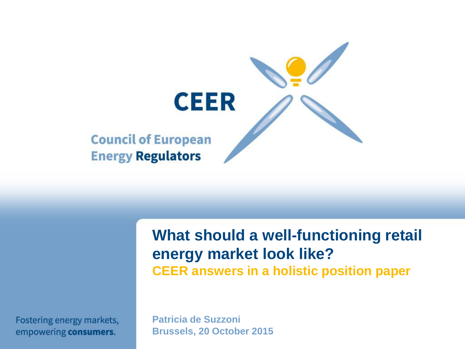

**What should a well-functioning retail energy market look like? CEER answers in a holistic position paper**

Fostering energy markets, empowering consumers.

**Patricia de Suzzoni Brussels, 20 October 2015**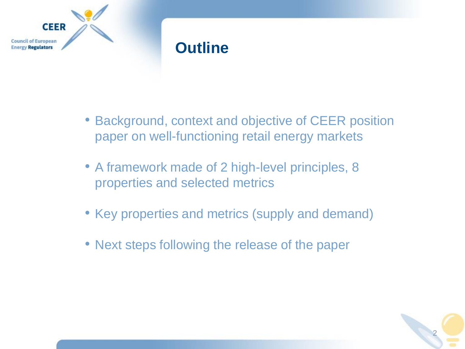

#### **Outline**

- Background, context and objective of CEER position paper on well-functioning retail energy markets
- A framework made of 2 high-level principles, 8 properties and selected metrics
- Key properties and metrics (supply and demand)
- Next steps following the release of the paper

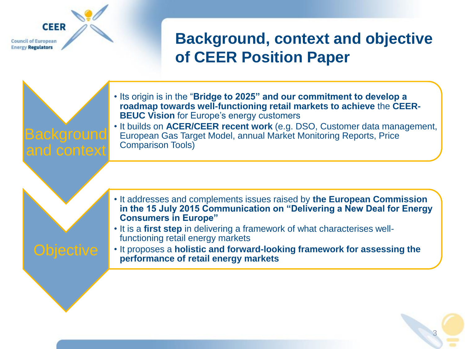**Council of European Energy Regulators** 

**CEER** 

## **Background, context and objective of CEER Position Paper**

Background and context • Its origin is in the "**Bridge to 2025" and our commitment to develop a roadmap towards well-functioning retail markets to achieve** the **CEER-BEUC Vision for Europe's energy customers** • It builds on **ACER/CEER recent work** (e.g. DSO, Customer data management, European Gas Target Model, annual Market Monitoring Reports, Price Comparison Tools) • It addresses and complements issues raised by **the European Commission in the 15 July 2015 Communication on "Delivering a New Deal for Energy Consumers in Europe"** • It is a **first step** in delivering a framework of what characterises wellfunctioning retail energy markets • It proposes a **holistic and forward-looking framework for assessing the performance of retail energy markets**

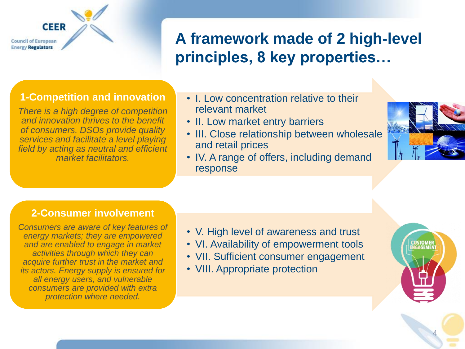**Council of European Energy Regulators** 

**CEER** 

## **A framework made of 2 high-level principles, 8 key properties…**

#### **1-Competition and innovation**

*There is a high degree of competition and innovation thrives to the benefit of consumers. DSOs provide quality services and facilitate a level playing field by acting as neutral and efficient market facilitators.*

- I. Low concentration relative to their relevant market
- II. Low market entry barriers
- III. Close relationship between wholesale and retail prices
- IV. A range of offers, including demand response



#### **2-Consumer involvement**

*Consumers are aware of key features of energy markets; they are empowered and are enabled to engage in market activities through which they can acquire further trust in the market and its actors. Energy supply is ensured for all energy users, and vulnerable consumers are provided with extra protection where needed.* 

- V. High level of awareness and trust
- VI. Availability of empowerment tools
- VII. Sufficient consumer engagement
- VIII. Appropriate protection



4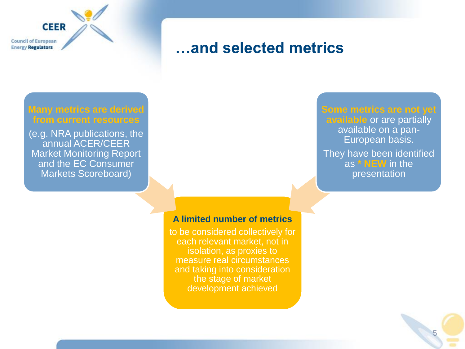**Council of European Energy Regulators** 

**CEER** 

#### **…and selected metrics**

#### **Many metrics are derived from current resources**

(e.g. NRA publications, the annual ACER/CEER Market Monitoring Report and the EC Consumer Markets Scoreboard)

#### **Some metrics are not yet available** or are partially

available on a pan-European basis.

They have been identified as **\* NEW** in the presentation

5

#### **A limited number of metrics**

to be considered collectively for each relevant market, not in isolation, as proxies to measure real circumstances and taking into consideration the stage of market development achieved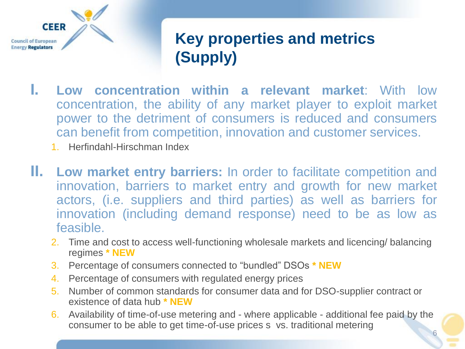

## **Key properties and metrics (Supply)**

- **I. Low concentration within a relevant market**: With low concentration, the ability of any market player to exploit market power to the detriment of consumers is reduced and consumers can benefit from competition, innovation and customer services.
	- 1. Herfindahl-Hirschman Index
- **II. Low market entry barriers:** In order to facilitate competition and innovation, barriers to market entry and growth for new market actors, (i.e. suppliers and third parties) as well as barriers for innovation (including demand response) need to be as low as feasible.
	- 2. Time and cost to access well-functioning wholesale markets and licencing/ balancing regimes **\* NEW**
	- 3. Percentage of consumers connected to "bundled" DSOs **\* NEW**
	- 4. Percentage of consumers with regulated energy prices
	- 5. Number of common standards for consumer data and for DSO-supplier contract or existence of data hub **\* NEW**
	- 6. Availability of time-of-use metering and where applicable additional fee paid by the consumer to be able to get time-of-use prices s vs. traditional metering 6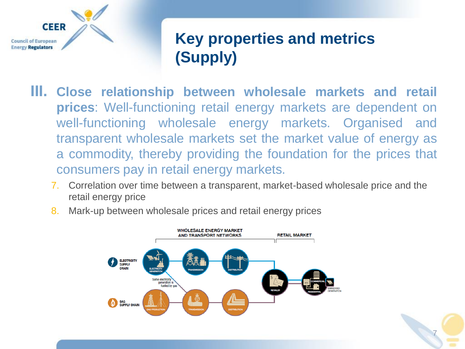

## **Key properties and metrics (Supply)**

7

- **III. Close relationship between wholesale markets and retail prices**: Well-functioning retail energy markets are dependent on well-functioning wholesale energy markets. Organised and transparent wholesale markets set the market value of energy as a commodity, thereby providing the foundation for the prices that consumers pay in retail energy markets.
	- 7. Correlation over time between a transparent, market-based wholesale price and the retail energy price



8. Mark-up between wholesale prices and retail energy prices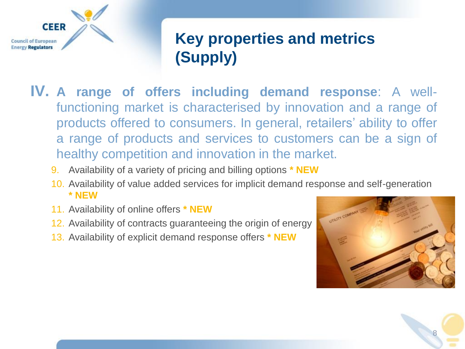

## **Key properties and metrics (Supply)**

- **IV. A range of offers including demand response**: A wellfunctioning market is characterised by innovation and a range of products offered to consumers. In general, retailers' ability to offer a range of products and services to customers can be a sign of healthy competition and innovation in the market.
	- 9. Availability of a variety of pricing and billing options **\* NEW**
	- 10. Availability of value added services for implicit demand response and self-generation **\* NEW**
	- 11. Availability of online offers **\* NEW**
	- 12. Availability of contracts guaranteeing the origin of energy
	- 13. Availability of explicit demand response offers **\* NEW**



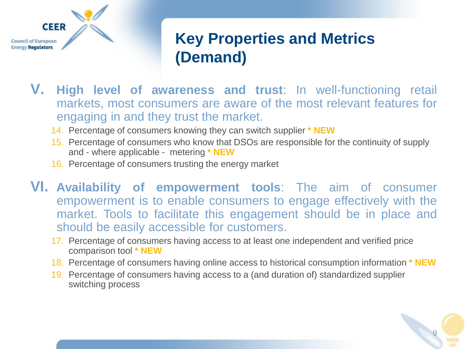

#### **Key Properties and Metrics (Demand)**

- **V. High level of awareness and trust**: In well-functioning retail markets, most consumers are aware of the most relevant features for engaging in and they trust the market.
	- 14. Percentage of consumers knowing they can switch supplier **\* NEW**
	- 15. Percentage of consumers who know that DSOs are responsible for the continuity of supply and - where applicable - metering **\* NEW**
	- 16. Percentage of consumers trusting the energy market
- **VI. Availability of empowerment tools**: The aim of consumer empowerment is to enable consumers to engage effectively with the market. Tools to facilitate this engagement should be in place and should be easily accessible for customers.
	- 17. Percentage of consumers having access to at least one independent and verified price comparison tool **\* NEW**
	- 18. Percentage of consumers having online access to historical consumption information **\* NEW**
	- 19. Percentage of consumers having access to a (and duration of) standardized supplier switching process

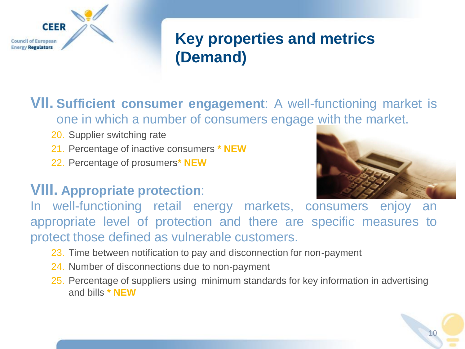

## **Key properties and metrics (Demand)**

**VII. Sufficient consumer engagement**: A well-functioning market is one in which a number of consumers engage with the market.

- 20. Supplier switching rate
- 21. Percentage of inactive consumers **\* NEW**
- 22. Percentage of prosumers**\* NEW**

#### **VIII. Appropriate protection**:



In well-functioning retail energy markets, consumers enjoy an appropriate level of protection and there are specific measures to protect those defined as vulnerable customers.

- 23. Time between notification to pay and disconnection for non-payment
- 24. Number of disconnections due to non-payment
- 25. Percentage of suppliers using minimum standards for key information in advertising and bills **\* NEW**

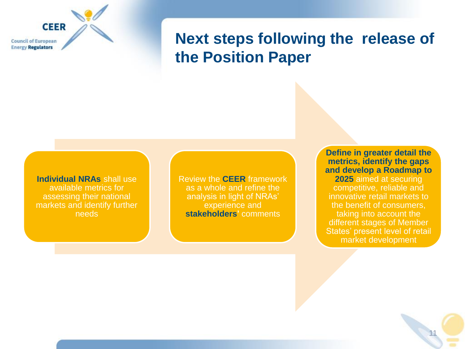**CEER Council of European Energy Regulators** 

#### **Next steps following the release of the Position Paper**

**Individual NRAs** shall use available metrics for assessing their national markets and identify further needs

Review the **CEER** framework as a whole and refine the analysis in light of NRAs' experience and **stakeholders'** comments

**Define in greater detail the metrics, identify the gaps and develop a Roadmap to 2025** aimed at securing competitive, reliable and innovative retail markets to the benefit of consumers, taking into account the different stages of Member States' present level of retail market development

11